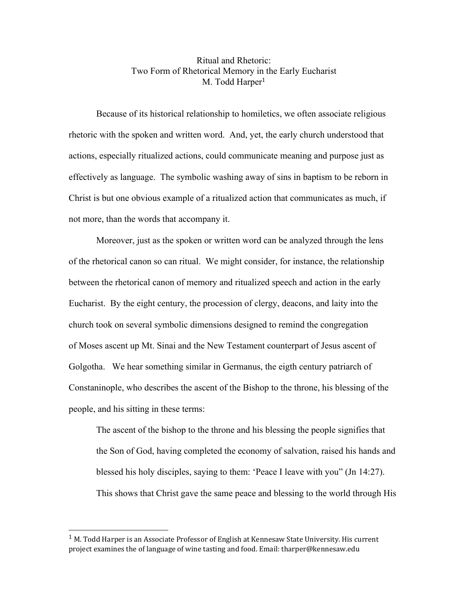## Ritual and Rhetoric: Two Form of Rhetorical Memory in the Early Eucharist M. Todd Harper<sup>1</sup>

Because of its historical relationship to homiletics, we often associate religious rhetoric with the spoken and written word. And, yet, the early church understood that actions, especially ritualized actions, could communicate meaning and purpose just as effectively as language. The symbolic washing away of sins in baptism to be reborn in Christ is but one obvious example of a ritualized action that communicates as much, if not more, than the words that accompany it.

Moreover, just as the spoken or written word can be analyzed through the lens of the rhetorical canon so can ritual. We might consider, for instance, the relationship between the rhetorical canon of memory and ritualized speech and action in the early Eucharist. By the eight century, the procession of clergy, deacons, and laity into the church took on several symbolic dimensions designed to remind the congregation of Moses ascent up Mt. Sinai and the New Testament counterpart of Jesus ascent of Golgotha. We hear something similar in Germanus, the eigth century patriarch of Constaninople, who describes the ascent of the Bishop to the throne, his blessing of the people, and his sitting in these terms:

The ascent of the bishop to the throne and his blessing the people signifies that the Son of God, having completed the economy of salvation, raised his hands and blessed his holy disciples, saying to them: 'Peace I leave with you" (Jn 14:27). This shows that Christ gave the same peace and blessing to the world through His

 $1$  M. Todd Harper is an Associate Professor of English at Kennesaw State University. His current project examines the of language of wine tasting and food. Email: tharper@kennesaw.edu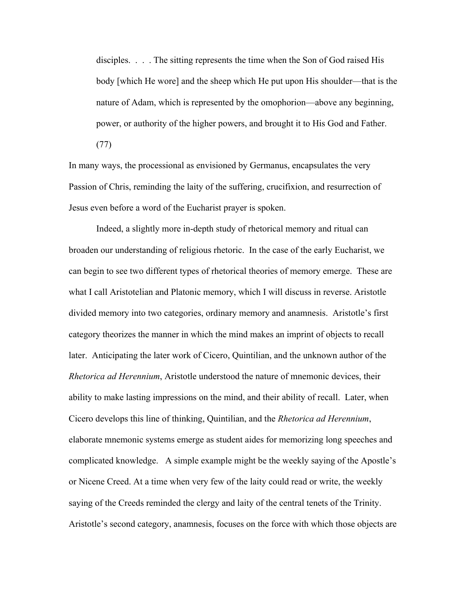disciples. . . . The sitting represents the time when the Son of God raised His body [which He wore] and the sheep which He put upon His shoulder—that is the nature of Adam, which is represented by the omophorion—above any beginning, power, or authority of the higher powers, and brought it to His God and Father. (77)

In many ways, the processional as envisioned by Germanus, encapsulates the very Passion of Chris, reminding the laity of the suffering, crucifixion, and resurrection of Jesus even before a word of the Eucharist prayer is spoken.

Indeed, a slightly more in-depth study of rhetorical memory and ritual can broaden our understanding of religious rhetoric. In the case of the early Eucharist, we can begin to see two different types of rhetorical theories of memory emerge. These are what I call Aristotelian and Platonic memory, which I will discuss in reverse. Aristotle divided memory into two categories, ordinary memory and anamnesis. Aristotle's first category theorizes the manner in which the mind makes an imprint of objects to recall later. Anticipating the later work of Cicero, Quintilian, and the unknown author of the *Rhetorica ad Herennium*, Aristotle understood the nature of mnemonic devices, their ability to make lasting impressions on the mind, and their ability of recall. Later, when Cicero develops this line of thinking, Quintilian, and the *Rhetorica ad Herennium*, elaborate mnemonic systems emerge as student aides for memorizing long speeches and complicated knowledge. A simple example might be the weekly saying of the Apostle's or Nicene Creed. At a time when very few of the laity could read or write, the weekly saying of the Creeds reminded the clergy and laity of the central tenets of the Trinity. Aristotle's second category, anamnesis, focuses on the force with which those objects are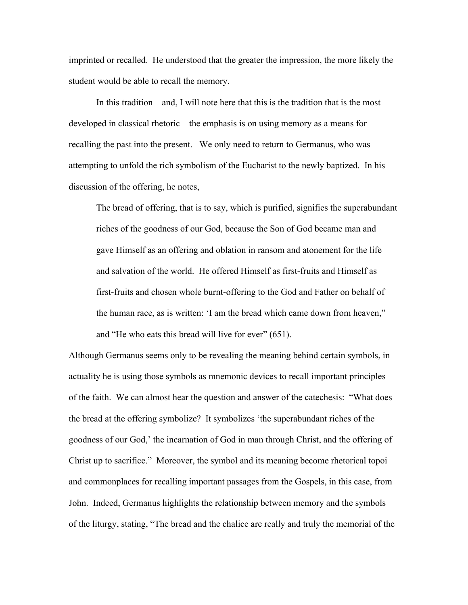imprinted or recalled. He understood that the greater the impression, the more likely the student would be able to recall the memory.

In this tradition—and, I will note here that this is the tradition that is the most developed in classical rhetoric—the emphasis is on using memory as a means for recalling the past into the present. We only need to return to Germanus, who was attempting to unfold the rich symbolism of the Eucharist to the newly baptized. In his discussion of the offering, he notes,

The bread of offering, that is to say, which is purified, signifies the superabundant riches of the goodness of our God, because the Son of God became man and gave Himself as an offering and oblation in ransom and atonement for the life and salvation of the world. He offered Himself as first-fruits and Himself as first-fruits and chosen whole burnt-offering to the God and Father on behalf of the human race, as is written: 'I am the bread which came down from heaven," and "He who eats this bread will live for ever" (651).

Although Germanus seems only to be revealing the meaning behind certain symbols, in actuality he is using those symbols as mnemonic devices to recall important principles of the faith. We can almost hear the question and answer of the catechesis: "What does the bread at the offering symbolize? It symbolizes 'the superabundant riches of the goodness of our God,' the incarnation of God in man through Christ, and the offering of Christ up to sacrifice." Moreover, the symbol and its meaning become rhetorical topoi and commonplaces for recalling important passages from the Gospels, in this case, from John. Indeed, Germanus highlights the relationship between memory and the symbols of the liturgy, stating, "The bread and the chalice are really and truly the memorial of the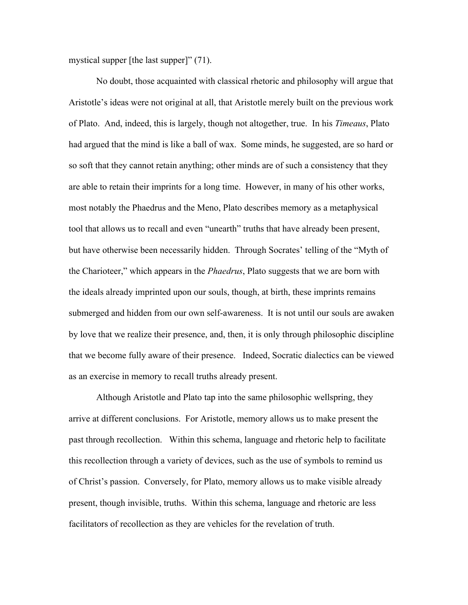mystical supper [the last supper]" (71).

No doubt, those acquainted with classical rhetoric and philosophy will argue that Aristotle's ideas were not original at all, that Aristotle merely built on the previous work of Plato. And, indeed, this is largely, though not altogether, true. In his *Timeaus*, Plato had argued that the mind is like a ball of wax. Some minds, he suggested, are so hard or so soft that they cannot retain anything; other minds are of such a consistency that they are able to retain their imprints for a long time. However, in many of his other works, most notably the Phaedrus and the Meno, Plato describes memory as a metaphysical tool that allows us to recall and even "unearth" truths that have already been present, but have otherwise been necessarily hidden. Through Socrates' telling of the "Myth of the Charioteer," which appears in the *Phaedrus*, Plato suggests that we are born with the ideals already imprinted upon our souls, though, at birth, these imprints remains submerged and hidden from our own self-awareness. It is not until our souls are awaken by love that we realize their presence, and, then, it is only through philosophic discipline that we become fully aware of their presence. Indeed, Socratic dialectics can be viewed as an exercise in memory to recall truths already present.

Although Aristotle and Plato tap into the same philosophic wellspring, they arrive at different conclusions. For Aristotle, memory allows us to make present the past through recollection. Within this schema, language and rhetoric help to facilitate this recollection through a variety of devices, such as the use of symbols to remind us of Christ's passion. Conversely, for Plato, memory allows us to make visible already present, though invisible, truths. Within this schema, language and rhetoric are less facilitators of recollection as they are vehicles for the revelation of truth.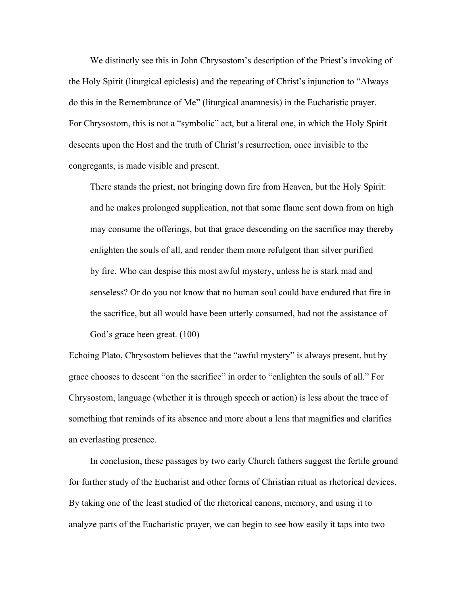We distinctly see this in John Chrysostom's description of the Priest's invoking of the Holy Spirit (liturgical epiclesis) and the repeating of Christ's injunction to "Always do this in the Remembrance of Me" (liturgical anamnesis) in the Eucharistic prayer. For Chrysostom, this is not a "symbolic" act, but a literal one, in which the Holy Spirit descents upon the Host and the truth of Christ's resurrection, once invisible to the congregants, is made visible and present.

There stands the priest, not bringing down fire from Heaven, but the Holy Spirit: and he makes prolonged supplication, not that some flame sent down from on high may consume the offerings, but that grace descending on the sacrifice may thereby enlighten the souls of all, and render them more refulgent than silver purified by fire. Who can despise this most awful mystery, unless he is stark mad and senseless? Or do you not know that no human soul could have endured that fire in the sacrifice, but all would have been utterly consumed, had not the assistance of God's grace been great. (100)

Echoing Plato, Chrysostom believes that the "awful mystery" is always present, but by grace chooses to descent "on the sacrifice" in order to "enlighten the souls of all." For Chrysostom, language (whether it is through speech or action) is less about the trace of something that reminds of its absence and more about a lens that magnifies and clarifies an everlasting presence.

In conclusion, these passages by two early Church fathers suggest the fertile ground for further study of the Eucharist and other forms of Christian ritual as rhetorical devices. By taking one of the least studied of the rhetorical canons, memory, and using it to analyze parts of the Eucharistic prayer, we can begin to see how easily it taps into two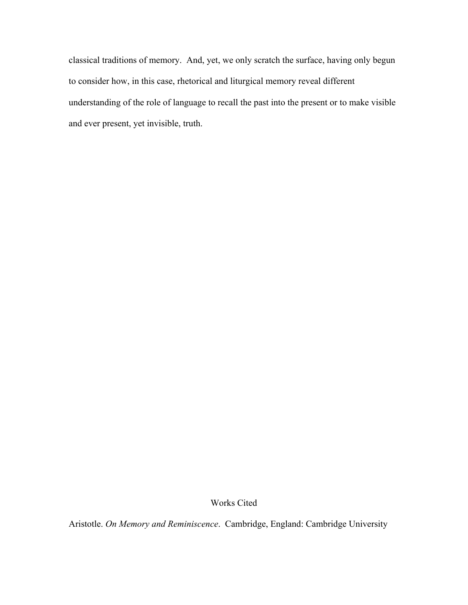classical traditions of memory. And, yet, we only scratch the surface, having only begun to consider how, in this case, rhetorical and liturgical memory reveal different understanding of the role of language to recall the past into the present or to make visible and ever present, yet invisible, truth.

Works Cited

Aristotle. *On Memory and Reminiscence*. Cambridge, England: Cambridge University